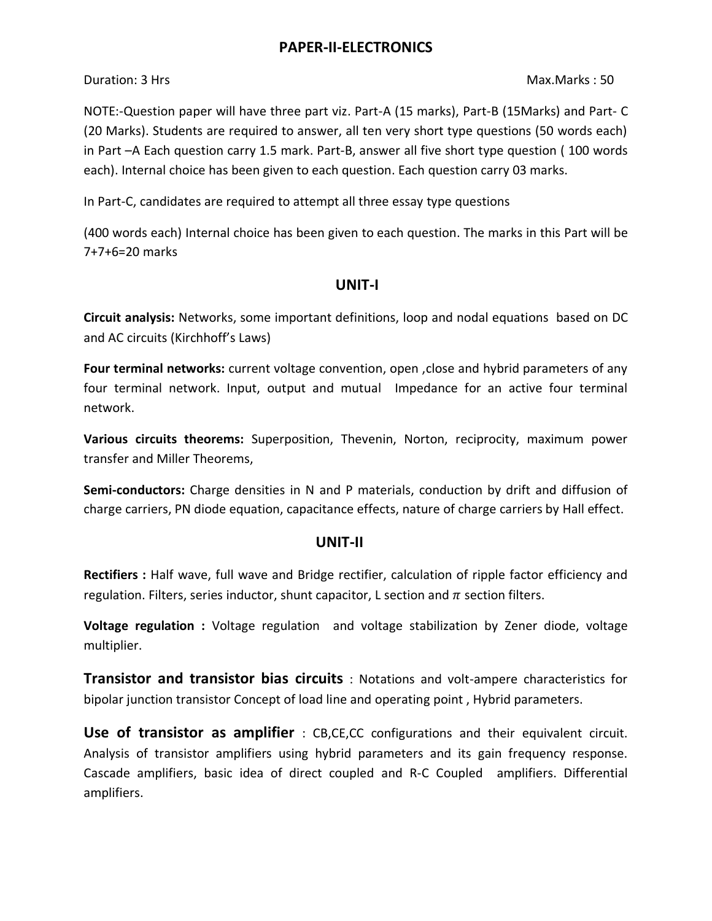## **PAPER-II-ELECTRONICS**

Duration: 3 Hrs Max.Marks : 50

NOTE:-Question paper will have three part viz. Part-A (15 marks), Part-B (15Marks) and Part- C (20 Marks). Students are required to answer, all ten very short type questions (50 words each) in Part –A Each question carry 1.5 mark. Part-B, answer all five short type question ( 100 words each). Internal choice has been given to each question. Each question carry 03 marks.

In Part-C, candidates are required to attempt all three essay type questions

(400 words each) Internal choice has been given to each question. The marks in this Part will be 7+7+6=20 marks

## **UNIT-I**

**Circuit analysis:** Networks, some important definitions, loop and nodal equations based on DC and AC circuits (Kirchhoff's Laws)

**Four terminal networks:** current voltage convention, open ,close and hybrid parameters of any four terminal network. Input, output and mutual Impedance for an active four terminal network.

**Various circuits theorems:** Superposition, Thevenin, Norton, reciprocity, maximum power transfer and Miller Theorems,

**Semi-conductors:** Charge densities in N and P materials, conduction by drift and diffusion of charge carriers, PN diode equation, capacitance effects, nature of charge carriers by Hall effect.

# **UNIT-II**

**Rectifiers :** Half wave, full wave and Bridge rectifier, calculation of ripple factor efficiency and regulation. Filters, series inductor, shunt capacitor, L section and  $\pi$  section filters.

**Voltage regulation :** Voltage regulation and voltage stabilization by Zener diode, voltage multiplier.

**Transistor and transistor bias circuits** : Notations and volt-ampere characteristics for bipolar junction transistor Concept of load line and operating point , Hybrid parameters.

**Use of transistor as amplifier** : CB,CE,CC configurations and their equivalent circuit. Analysis of transistor amplifiers using hybrid parameters and its gain frequency response. Cascade amplifiers, basic idea of direct coupled and R-C Coupled amplifiers. Differential amplifiers.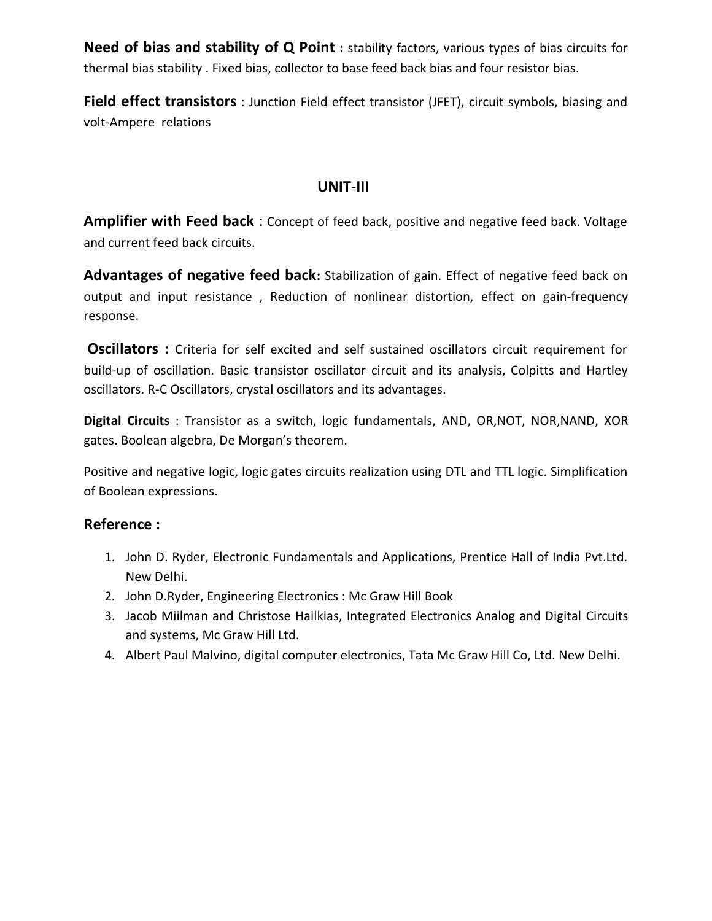**Need of bias and stability of Q Point :** stability factors, various types of bias circuits for thermal bias stability . Fixed bias, collector to base feed back bias and four resistor bias.

**Field effect transistors** : Junction Field effect transistor (JFET), circuit symbols, biasing and volt-Ampere relations

## **UNIT-III**

**Amplifier with Feed back** : Concept of feed back, positive and negative feed back. Voltage and current feed back circuits.

Advantages of negative feed back: Stabilization of gain. Effect of negative feed back on output and input resistance , Reduction of nonlinear distortion, effect on gain-frequency response.

**Oscillators :** Criteria for self excited and self sustained oscillators circuit requirement for build-up of oscillation. Basic transistor oscillator circuit and its analysis, Colpitts and Hartley oscillators. R-C Oscillators, crystal oscillators and its advantages.

**Digital Circuits** : Transistor as a switch, logic fundamentals, AND, OR,NOT, NOR,NAND, XOR gates. Boolean algebra, De Morgan's theorem.

Positive and negative logic, logic gates circuits realization using DTL and TTL logic. Simplification of Boolean expressions.

### **Reference :**

- 1. John D. Ryder, Electronic Fundamentals and Applications, Prentice Hall of India Pvt.Ltd. New Delhi.
- 2. John D.Ryder, Engineering Electronics : Mc Graw Hill Book
- 3. Jacob Miilman and Christose Hailkias, Integrated Electronics Analog and Digital Circuits and systems, Mc Graw Hill Ltd.
- 4. Albert Paul Malvino, digital computer electronics, Tata Mc Graw Hill Co, Ltd. New Delhi.